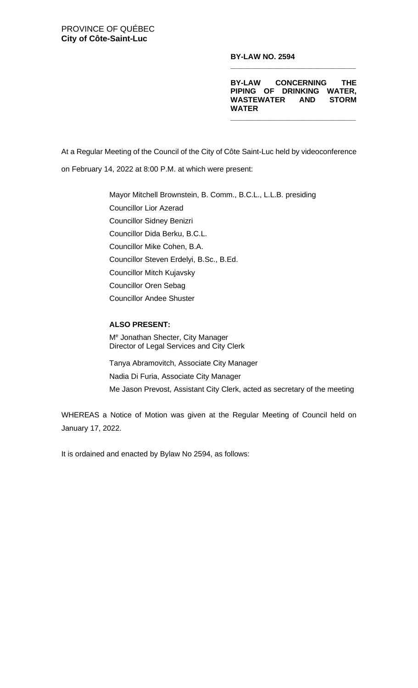**BY-LAW NO. 2594**

**BY-LAW CONCERNING THE PIPING OF DRINKING WATER, WASTEWATER AND STORM WATER**

**\_\_\_\_\_\_\_\_\_\_\_\_\_\_\_\_\_\_\_\_\_\_\_\_\_\_\_\_\_\_**

**\_\_\_\_\_\_\_\_\_\_\_\_\_\_\_\_\_\_\_\_\_\_\_\_\_\_\_\_\_\_**

At a Regular Meeting of the Council of the City of Côte Saint-Luc held by videoconference on February 14, 2022 at 8:00 P.M. at which were present:

> Mayor Mitchell Brownstein, B. Comm., B.C.L., L.L.B. presiding Councillor Lior Azerad Councillor Sidney Benizri Councillor Dida Berku, B.C.L. Councillor Mike Cohen, B.A. Councillor Steven Erdelyi, B.Sc., B.Ed. Councillor Mitch Kujavsky Councillor Oren Sebag Councillor Andee Shuster

#### **ALSO PRESENT:**

Me Jonathan Shecter, City Manager Director of Legal Services and City Clerk

Tanya Abramovitch, Associate City Manager Nadia Di Furia, Associate City Manager Me Jason Prevost, Assistant City Clerk, acted as secretary of the meeting

WHEREAS a Notice of Motion was given at the Regular Meeting of Council held on January 17, 2022.

It is ordained and enacted by Bylaw No 2594, as follows: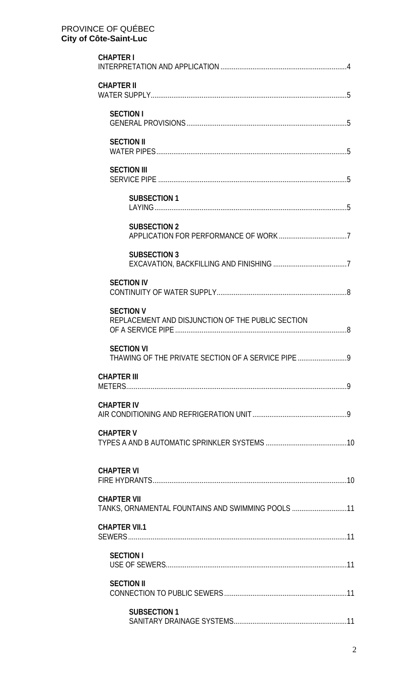| <b>CHAPTER I</b>                                                            |
|-----------------------------------------------------------------------------|
| <b>CHAPTER II</b>                                                           |
| <b>SECTION I</b>                                                            |
| <b>SECTION II</b>                                                           |
| <b>SECTION III</b>                                                          |
| <b>SUBSECTION 1</b>                                                         |
| <b>SUBSECTION 2</b>                                                         |
| <b>SUBSECTION 3</b>                                                         |
| <b>SECTION IV</b>                                                           |
| <b>SECTION V</b><br>REPLACEMENT AND DISJUNCTION OF THE PUBLIC SECTION       |
| <b>SECTION VI</b><br>THAWING OF THE PRIVATE SECTION OF A SERVICE PIPE<br>.9 |
| <b>CHAPTER III</b>                                                          |
| <b>CHAPTER IV</b>                                                           |
| <b>CHAPTER V</b>                                                            |
| <b>CHAPTER VI</b>                                                           |
| <b>CHAPTER VII</b><br>TANKS, ORNAMENTAL FOUNTAINS AND SWIMMING POOLS 11     |
| <b>CHAPTER VII.1</b>                                                        |
| <b>SECTION I</b>                                                            |
| <b>SECTION II</b>                                                           |
| <b>SUBSECTION 1</b>                                                         |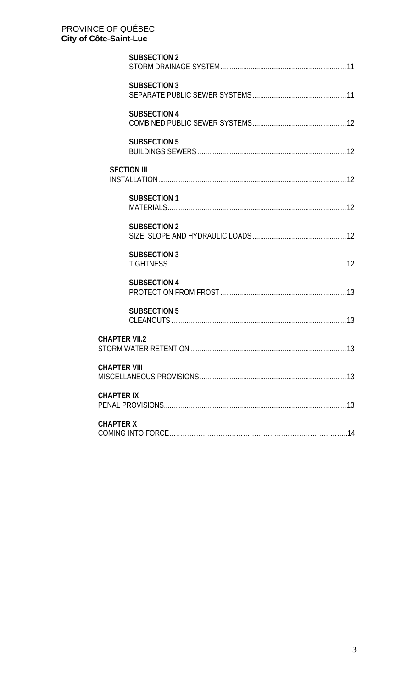| <b>SUBSECTION 2</b>  |
|----------------------|
| <b>SUBSECTION 3</b>  |
| <b>SUBSECTION 4</b>  |
| <b>SUBSECTION 5</b>  |
| <b>SECTION III</b>   |
| <b>SUBSECTION 1</b>  |
| <b>SUBSECTION 2</b>  |
| <b>SUBSECTION 3</b>  |
| <b>SUBSECTION 4</b>  |
| <b>SUBSECTION 5</b>  |
| <b>CHAPTER VII.2</b> |
| <b>CHAPTER VIII</b>  |
| <b>CHAPTER IX</b>    |
| <b>CHAPTER X</b>     |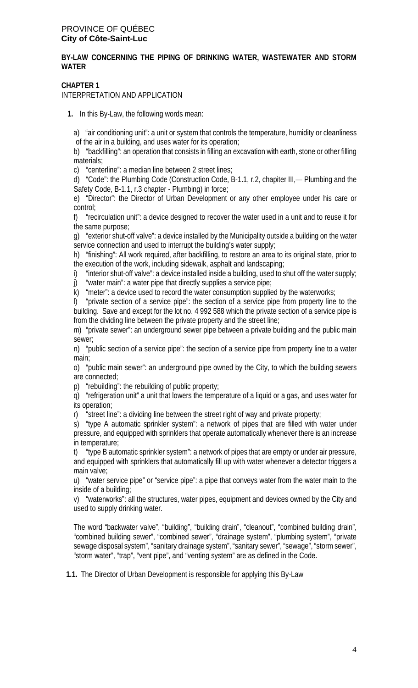## **BY-LAW CONCERNING THE PIPING OF DRINKING WATER, WASTEWATER AND STORM WATER**

## **CHAPTER 1**

INTERPRETATION AND APPLICATION

**1.** In this By-Law, the following words mean:

a) "air conditioning unit": a unit or system that controls the temperature, humidity or cleanliness of the air in a building, and uses water for its operation;

b) "backfilling": an operation that consists in filling an excavation with earth, stone or other filling materials;

c) "centerline": a median line between 2 street lines;

d) "Code": the Plumbing Code (Construction Code, B-1.1, r.2, chapiter III,— Plumbing and the Safety Code, B-1.1, r.3 chapter - Plumbing) in force;

e) "Director": the Director of Urban Development or any other employee under his care or control;

f) "recirculation unit": a device designed to recover the water used in a unit and to reuse it for the same purpose;

g) "exterior shut-off valve": a device installed by the Municipality outside a building on the water service connection and used to interrupt the building's water supply;

h) "finishing": All work required, after backfilling, to restore an area to its original state, prior to the execution of the work, including sidewalk, asphalt and landscaping;

i) "interior shut-off valve": a device installed inside a building, used to shut off the water supply;

j) "water main": a water pipe that directly supplies a service pipe;

k) "meter": a device used to record the water consumption supplied by the waterworks;

l) "private section of a service pipe": the section of a service pipe from property line to the building. Save and except for the lot no. 4 992 588 which the private section of a service pipe is from the dividing line between the private property and the street line;

m) "private sewer": an underground sewer pipe between a private building and the public main sewer;

n) "public section of a service pipe": the section of a service pipe from property line to a water main;

o) "public main sewer": an underground pipe owned by the City, to which the building sewers are connected;

p) "rebuilding": the rebuilding of public property;

q) "refrigeration unit" a unit that lowers the temperature of a liquid or a gas, and uses water for its operation;

r) "street line": a dividing line between the street right of way and private property;

s) "type A automatic sprinkler system": a network of pipes that are filled with water under pressure, and equipped with sprinklers that operate automatically whenever there is an increase in temperature;

t) "type B automatic sprinkler system": a network of pipes that are empty or under air pressure, and equipped with sprinklers that automatically fill up with water whenever a detector triggers a main valve;

u) "water service pipe" or "service pipe": a pipe that conveys water from the water main to the inside of a building;

v) "waterworks": all the structures, water pipes, equipment and devices owned by the City and used to supply drinking water.

The word "backwater valve", "building", "building drain", "cleanout", "combined building drain", "combined building sewer", "combined sewer", "drainage system", "plumbing system", "private sewage disposal system", "sanitary drainage system", "sanitary sewer", "sewage", "storm sewer", "storm water", "trap", "vent pipe", and "venting system" are as defined in the Code.

**1.1.** The Director of Urban Development is responsible for applying this By-Law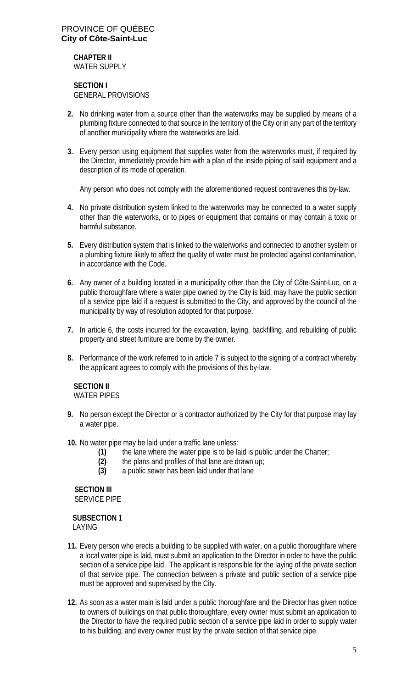## **CHAPTER II** WATER SUPPLY

## **SECTION I** GENERAL PROVISIONS

- **2.** No drinking water from a source other than the waterworks may be supplied by means of a plumbing fixture connected to that source in the territory of the City or in any part of the territory of another municipality where the waterworks are laid.
- **3.** Every person using equipment that supplies water from the waterworks must, if required by the Director, immediately provide him with a plan of the inside piping of said equipment and a description of its mode of operation.

Any person who does not comply with the aforementioned request contravenes this by-law.

- **4.** No private distribution system linked to the waterworks may be connected to a water supply other than the waterworks, or to pipes or equipment that contains or may contain a toxic or harmful substance.
- **5.** Every distribution system that is linked to the waterworks and connected to another system or a plumbing fixture likely to affect the quality of water must be protected against contamination, in accordance with the Code.
- **6.** Any owner of a building located in a municipality other than the City of Côte-Saint-Luc, on a public thoroughfare where a water pipe owned by the City is laid, may have the public section of a service pipe laid if a request is submitted to the City, and approved by the council of the municipality by way of resolution adopted for that purpose.
- **7.** In article 6, the costs incurred for the excavation, laying, backfilling, and rebuilding of public property and street furniture are borne by the owner.
- **8.** Performance of the work referred to in article 7 is subject to the signing of a contract whereby the applicant agrees to comply with the provisions of this by-law.

#### **SECTION II** WATER PIPES

- 
- **9.** No person except the Director or a contractor authorized by the City for that purpose may lay a water pipe.
- **10.** No water pipe may be laid under a traffic lane unless:
	- **(1)** the lane where the water pipe is to be laid is public under the Charter;
	- **(2)** the plans and profiles of that lane are drawn up;
	- **(3)** a public sewer has been laid under that lane

 **SECTION III** SERVICE PIPE

 **SUBSECTION 1** LAYING

- **11.** Every person who erects a building to be supplied with water, on a public thoroughfare where a local water pipe is laid, must submit an application to the Director in order to have the public section of a service pipe laid. The applicant is responsible for the laying of the private section of that service pipe. The connection between a private and public section of a service pipe must be approved and supervised by the City.
- **12.** As soon as a water main is laid under a public thoroughfare and the Director has given notice to owners of buildings on that public thoroughfare, every owner must submit an application to the Director to have the required public section of a service pipe laid in order to supply water to his building, and every owner must lay the private section of that service pipe.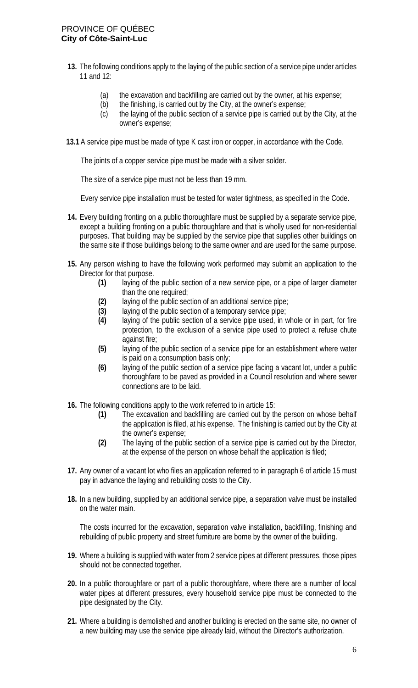- **13.** The following conditions apply to the laying of the public section of a service pipe under articles 11 and 12:
	- (a) the excavation and backfilling are carried out by the owner, at his expense;
	- (b) the finishing, is carried out by the City, at the owner's expense;
	- (c) the laying of the public section of a service pipe is carried out by the City, at the owner's expense;
- **13.1** A service pipe must be made of type K cast iron or copper, in accordance with the Code.

The joints of a copper service pipe must be made with a silver solder.

The size of a service pipe must not be less than 19 mm.

Every service pipe installation must be tested for water tightness, as specified in the Code.

- **14.** Every building fronting on a public thoroughfare must be supplied by a separate service pipe, except a building fronting on a public thoroughfare and that is wholly used for non-residential purposes. That building may be supplied by the service pipe that supplies other buildings on the same site if those buildings belong to the same owner and are used for the same purpose.
- **15.** Any person wishing to have the following work performed may submit an application to the Director for that purpose.
	- **(1)** laying of the public section of a new service pipe, or a pipe of larger diameter than the one required;
	- **(2)** laying of the public section of an additional service pipe;
	- **(3)** laying of the public section of a temporary service pipe;
	- **(4)** laying of the public section of a service pipe used, in whole or in part, for fire protection, to the exclusion of a service pipe used to protect a refuse chute against fire;
	- **(5)** laying of the public section of a service pipe for an establishment where water is paid on a consumption basis only;
	- **(6)** laying of the public section of a service pipe facing a vacant lot, under a public thoroughfare to be paved as provided in a Council resolution and where sewer connections are to be laid.
- **16.** The following conditions apply to the work referred to in article 15:
	- **(1)** The excavation and backfilling are carried out by the person on whose behalf the application is filed, at his expense. The finishing is carried out by the City at the owner's expense;
	- **(2)** The laying of the public section of a service pipe is carried out by the Director, at the expense of the person on whose behalf the application is filed;
- **17.** Any owner of a vacant lot who files an application referred to in paragraph 6 of article 15 must pay in advance the laying and rebuilding costs to the City.
- **18.** In a new building, supplied by an additional service pipe, a separation valve must be installed on the water main.

The costs incurred for the excavation, separation valve installation, backfilling, finishing and rebuilding of public property and street furniture are borne by the owner of the building.

- **19.** Where a building is supplied with water from 2 service pipes at different pressures, those pipes should not be connected together.
- **20.** In a public thoroughfare or part of a public thoroughfare, where there are a number of local water pipes at different pressures, every household service pipe must be connected to the pipe designated by the City.
- **21.** Where a building is demolished and another building is erected on the same site, no owner of a new building may use the service pipe already laid, without the Director's authorization.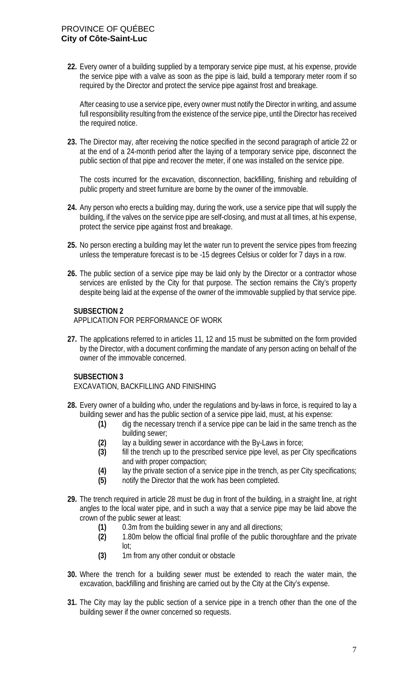**22.** Every owner of a building supplied by a temporary service pipe must, at his expense, provide the service pipe with a valve as soon as the pipe is laid, build a temporary meter room if so required by the Director and protect the service pipe against frost and breakage.

After ceasing to use a service pipe, every owner must notify the Director in writing, and assume full responsibility resulting from the existence of the service pipe, until the Director has received the required notice.

**23.** The Director may, after receiving the notice specified in the second paragraph of article 22 or at the end of a 24-month period after the laying of a temporary service pipe, disconnect the public section of that pipe and recover the meter, if one was installed on the service pipe.

The costs incurred for the excavation, disconnection, backfilling, finishing and rebuilding of public property and street furniture are borne by the owner of the immovable.

- **24.** Any person who erects a building may, during the work, use a service pipe that will supply the building, if the valves on the service pipe are self-closing, and must at all times, at his expense, protect the service pipe against frost and breakage.
- **25.** No person erecting a building may let the water run to prevent the service pipes from freezing unless the temperature forecast is to be -15 degrees Celsius or colder for 7 days in a row.
- **26.** The public section of a service pipe may be laid only by the Director or a contractor whose services are enlisted by the City for that purpose. The section remains the City's property despite being laid at the expense of the owner of the immovable supplied by that service pipe.

## **SUBSECTION 2**

APPLICATION FOR PERFORMANCE OF WORK

**27.** The applications referred to in articles 11, 12 and 15 must be submitted on the form provided by the Director, with a document confirming the mandate of any person acting on behalf of the owner of the immovable concerned.

## **SUBSECTION 3**

EXCAVATION, BACKFILLING AND FINISHING

- **28.** Every owner of a building who, under the regulations and by-laws in force, is required to lay a building sewer and has the public section of a service pipe laid, must, at his expense:
	- **(1)** dig the necessary trench if a service pipe can be laid in the same trench as the building sewer;
	- **(2)** lay a building sewer in accordance with the By-Laws in force;
	- **(3)** fill the trench up to the prescribed service pipe level, as per City specifications and with proper compaction;
	- **(4)** lay the private section of a service pipe in the trench, as per City specifications;
	- **(5)** notify the Director that the work has been completed.
- **29.** The trench required in article 28 must be dug in front of the building, in a straight line, at right angles to the local water pipe, and in such a way that a service pipe may be laid above the crown of the public sewer at least:
	- **(1)** 0.3m from the building sewer in any and all directions;
	- **(2)** 1.80m below the official final profile of the public thoroughfare and the private lot;
	- **(3)** 1m from any other conduit or obstacle
- **30.** Where the trench for a building sewer must be extended to reach the water main, the excavation, backfilling and finishing are carried out by the City at the City's expense.
- **31.** The City may lay the public section of a service pipe in a trench other than the one of the building sewer if the owner concerned so requests.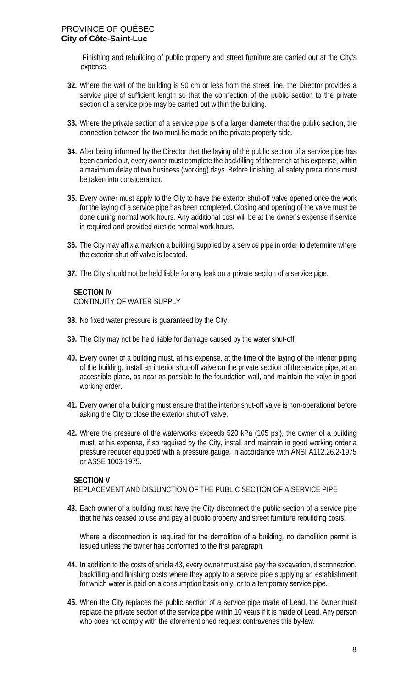Finishing and rebuilding of public property and street furniture are carried out at the City's expense.

- **32.** Where the wall of the building is 90 cm or less from the street line, the Director provides a service pipe of sufficient length so that the connection of the public section to the private section of a service pipe may be carried out within the building.
- **33.** Where the private section of a service pipe is of a larger diameter that the public section, the connection between the two must be made on the private property side.
- **34.** After being informed by the Director that the laying of the public section of a service pipe has been carried out, every owner must complete the backfilling of the trench at his expense, within a maximum delay of two business (working) days. Before finishing, all safety precautions must be taken into consideration.
- **35.** Every owner must apply to the City to have the exterior shut-off valve opened once the work for the laying of a service pipe has been completed. Closing and opening of the valve must be done during normal work hours. Any additional cost will be at the owner's expense if service is required and provided outside normal work hours.
- **36.** The City may affix a mark on a building supplied by a service pipe in order to determine where the exterior shut-off valve is located.
- **37.** The City should not be held liable for any leak on a private section of a service pipe.

## **SECTION IV**

CONTINUITY OF WATER SUPPLY

- **38.** No fixed water pressure is guaranteed by the City.
- **39.** The City may not be held liable for damage caused by the water shut-off.
- **40.** Every owner of a building must, at his expense, at the time of the laying of the interior piping of the building, install an interior shut-off valve on the private section of the service pipe, at an accessible place, as near as possible to the foundation wall, and maintain the valve in good working order.
- **41.** Every owner of a building must ensure that the interior shut-off valve is non-operational before asking the City to close the exterior shut-off valve.
- **42.** Where the pressure of the waterworks exceeds 520 kPa (105 psi), the owner of a building must, at his expense, if so required by the City, install and maintain in good working order a pressure reducer equipped with a pressure gauge, in accordance with ANSI A112.26.2-1975 or ASSE 1003-1975.

#### **SECTION V**

REPLACEMENT AND DISJUNCTION OF THE PUBLIC SECTION OF A SERVICE PIPE

**43.** Each owner of a building must have the City disconnect the public section of a service pipe that he has ceased to use and pay all public property and street furniture rebuilding costs.

Where a disconnection is required for the demolition of a building, no demolition permit is issued unless the owner has conformed to the first paragraph.

- **44.** In addition to the costs of article 43, every owner must also pay the excavation, disconnection, backfilling and finishing costs where they apply to a service pipe supplying an establishment for which water is paid on a consumption basis only, or to a temporary service pipe.
- **45.** When the City replaces the public section of a service pipe made of Lead, the owner must replace the private section of the service pipe within 10 years if it is made of Lead. Any person who does not comply with the aforementioned request contravenes this by-law.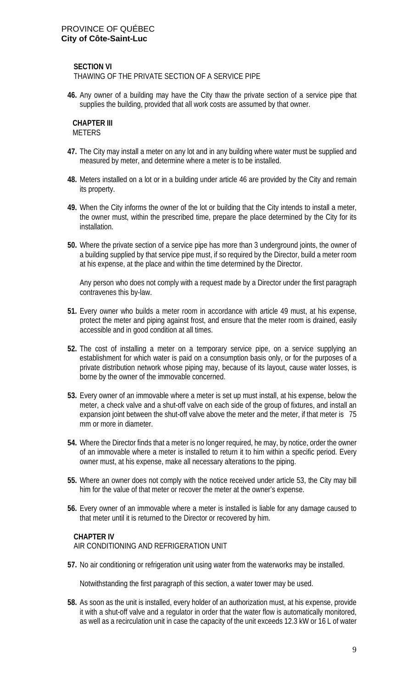**SECTION VI**

THAWING OF THE PRIVATE SECTION OF A SERVICE PIPE

**46.** Any owner of a building may have the City thaw the private section of a service pipe that supplies the building, provided that all work costs are assumed by that owner.

#### **CHAPTER III** METERS

- **47.** The City may install a meter on any lot and in any building where water must be supplied and measured by meter, and determine where a meter is to be installed.
- **48.** Meters installed on a lot or in a building under article 46 are provided by the City and remain its property.
- **49.** When the City informs the owner of the lot or building that the City intends to install a meter, the owner must, within the prescribed time, prepare the place determined by the City for its installation.
- **50.** Where the private section of a service pipe has more than 3 underground joints, the owner of a building supplied by that service pipe must, if so required by the Director, build a meter room at his expense, at the place and within the time determined by the Director.

Any person who does not comply with a request made by a Director under the first paragraph contravenes this by-law.

- **51.** Every owner who builds a meter room in accordance with article 49 must, at his expense, protect the meter and piping against frost, and ensure that the meter room is drained, easily accessible and in good condition at all times.
- **52.** The cost of installing a meter on a temporary service pipe, on a service supplying an establishment for which water is paid on a consumption basis only, or for the purposes of a private distribution network whose piping may, because of its layout, cause water losses, is borne by the owner of the immovable concerned.
- **53.** Every owner of an immovable where a meter is set up must install, at his expense, below the meter, a check valve and a shut-off valve on each side of the group of fixtures, and install an expansion joint between the shut-off valve above the meter and the meter, if that meter is 75 mm or more in diameter.
- **54.** Where the Director finds that a meter is no longer required, he may, by notice, order the owner of an immovable where a meter is installed to return it to him within a specific period. Every owner must, at his expense, make all necessary alterations to the piping.
- **55.** Where an owner does not comply with the notice received under article 53, the City may bill him for the value of that meter or recover the meter at the owner's expense.
- **56.** Every owner of an immovable where a meter is installed is liable for any damage caused to that meter until it is returned to the Director or recovered by him.

#### **CHAPTER IV**

AIR CONDITIONING AND REFRIGERATION UNIT

**57.** No air conditioning or refrigeration unit using water from the waterworks may be installed.

Notwithstanding the first paragraph of this section, a water tower may be used.

**58.** As soon as the unit is installed, every holder of an authorization must, at his expense, provide it with a shut-off valve and a regulator in order that the water flow is automatically monitored, as well as a recirculation unit in case the capacity of the unit exceeds 12.3 kW or 16 L of water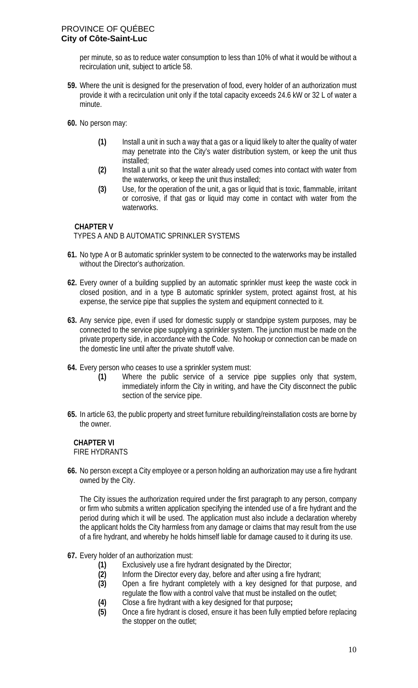per minute, so as to reduce water consumption to less than 10% of what it would be without a recirculation unit, subject to article 58.

- **59.** Where the unit is designed for the preservation of food, every holder of an authorization must provide it with a recirculation unit only if the total capacity exceeds 24.6 kW or 32 L of water a minute.
- **60.** No person may:
	- **(1)** Install a unit in such a way that a gas or a liquid likely to alter the quality of water may penetrate into the City's water distribution system, or keep the unit thus installed;
	- **(2)** Install a unit so that the water already used comes into contact with water from the waterworks, or keep the unit thus installed;
	- **(3)** Use, for the operation of the unit, a gas or liquid that is toxic, flammable, irritant or corrosive, if that gas or liquid may come in contact with water from the waterworks.

## **CHAPTER V**

## TYPES A AND B AUTOMATIC SPRINKLER SYSTEMS

- **61.** No type A or B automatic sprinkler system to be connected to the waterworks may be installed without the Director's authorization.
- **62.** Every owner of a building supplied by an automatic sprinkler must keep the waste cock in closed position, and in a type B automatic sprinkler system, protect against frost, at his expense, the service pipe that supplies the system and equipment connected to it.
- **63.** Any service pipe, even if used for domestic supply or standpipe system purposes, may be connected to the service pipe supplying a sprinkler system. The junction must be made on the private property side, in accordance with the Code. No hookup or connection can be made on the domestic line until after the private shutoff valve.
- **64.** Every person who ceases to use a sprinkler system must:
	- **(1)** Where the public service of a service pipe supplies only that system, immediately inform the City in writing, and have the City disconnect the public section of the service pipe.
- **65.** In article 63, the public property and street furniture rebuilding/reinstallation costs are borne by the owner.

#### **CHAPTER VI** FIRE HYDRANTS

**66.** No person except a City employee or a person holding an authorization may use a fire hydrant owned by the City.

The City issues the authorization required under the first paragraph to any person, company or firm who submits a written application specifying the intended use of a fire hydrant and the period during which it will be used. The application must also include a declaration whereby the applicant holds the City harmless from any damage or claims that may result from the use of a fire hydrant, and whereby he holds himself liable for damage caused to it during its use.

- **67.** Every holder of an authorization must:
	- **(1)** Exclusively use a fire hydrant designated by the Director;
	- **(2)** Inform the Director every day, before and after using a fire hydrant;
	- **(3)** Open a fire hydrant completely with a key designed for that purpose, and regulate the flow with a control valve that must be installed on the outlet;
	- **(4)** Close a fire hydrant with a key designed for that purpose**;**
	- **(5)** Once a fire hydrant is closed, ensure it has been fully emptied before replacing the stopper on the outlet;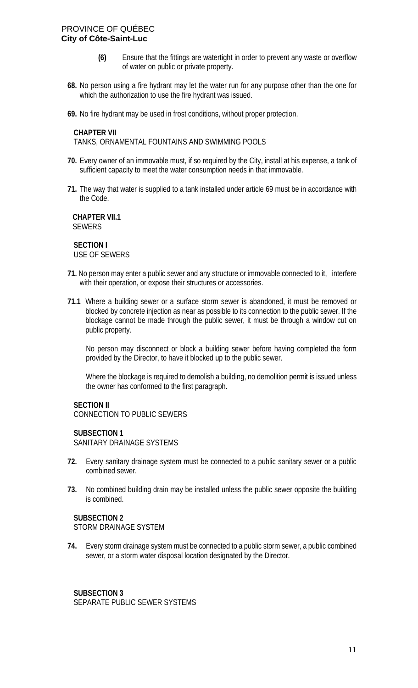- **(6)** Ensure that the fittings are watertight in order to prevent any waste or overflow of water on public or private property.
- **68.** No person using a fire hydrant may let the water run for any purpose other than the one for which the authorization to use the fire hydrant was issued.
- **69.** No fire hydrant may be used in frost conditions, without proper protection.

#### **CHAPTER VII**

TANKS, ORNAMENTAL FOUNTAINS AND SWIMMING POOLS

- **70.** Every owner of an immovable must, if so required by the City, install at his expense, a tank of sufficient capacity to meet the water consumption needs in that immovable.
- **71.** The way that water is supplied to a tank installed under article 69 must be in accordance with the Code.

 **CHAPTER VII.1** SEWERS

**SECTION I** USE OF SEWERS

- **71.** No person may enter a public sewer and any structure or immovable connected to it, interfere with their operation, or expose their structures or accessories.
- **71.1** Where a building sewer or a surface storm sewer is abandoned, it must be removed or blocked by concrete injection as near as possible to its connection to the public sewer. If the blockage cannot be made through the public sewer, it must be through a window cut on public property.

No person may disconnect or block a building sewer before having completed the form provided by the Director, to have it blocked up to the public sewer.

Where the blockage is required to demolish a building, no demolition permit is issued unless the owner has conformed to the first paragraph.

#### **SECTION II**

CONNECTION TO PUBLIC SEWERS

#### **SUBSECTION 1**

SANITARY DRAINAGE SYSTEMS

- **72.** Every sanitary drainage system must be connected to a public sanitary sewer or a public combined sewer.
- **73.** No combined building drain may be installed unless the public sewer opposite the building is combined.

#### **SUBSECTION 2**

STORM DRAINAGE SYSTEM

**74.** Every storm drainage system must be connected to a public storm sewer, a public combined sewer, or a storm water disposal location designated by the Director.

#### **SUBSECTION 3** SEPARATE PUBLIC SEWER SYSTEMS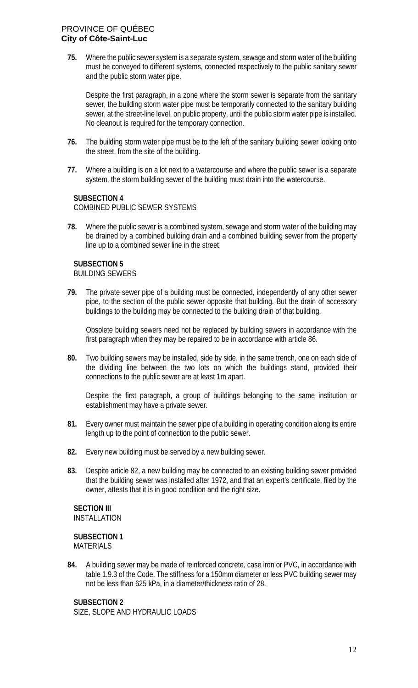**75.** Where the public sewer system is a separate system, sewage and storm water of the building must be conveyed to different systems, connected respectively to the public sanitary sewer and the public storm water pipe.

Despite the first paragraph, in a zone where the storm sewer is separate from the sanitary sewer, the building storm water pipe must be temporarily connected to the sanitary building sewer, at the street-line level, on public property, until the public storm water pipe is installed. No cleanout is required for the temporary connection.

- **76.** The building storm water pipe must be to the left of the sanitary building sewer looking onto the street, from the site of the building.
- **77.** Where a building is on a lot next to a watercourse and where the public sewer is a separate system, the storm building sewer of the building must drain into the watercourse.

## **SUBSECTION 4**

COMBINED PUBLIC SEWER SYSTEMS

**78.** Where the public sewer is a combined system, sewage and storm water of the building may be drained by a combined building drain and a combined building sewer from the property line up to a combined sewer line in the street.

## **SUBSECTION 5**

BUILDING SEWERS

**79.** The private sewer pipe of a building must be connected, independently of any other sewer pipe, to the section of the public sewer opposite that building. But the drain of accessory buildings to the building may be connected to the building drain of that building.

Obsolete building sewers need not be replaced by building sewers in accordance with the first paragraph when they may be repaired to be in accordance with article 86.

**80.** Two building sewers may be installed, side by side, in the same trench, one on each side of the dividing line between the two lots on which the buildings stand, provided their connections to the public sewer are at least 1m apart.

Despite the first paragraph, a group of buildings belonging to the same institution or establishment may have a private sewer.

- **81.** Every owner must maintain the sewer pipe of a building in operating condition along its entire length up to the point of connection to the public sewer.
- **82.** Every new building must be served by a new building sewer.
- **83.** Despite article 82, a new building may be connected to an existing building sewer provided that the building sewer was installed after 1972, and that an expert's certificate, filed by the owner, attests that it is in good condition and the right size.

# **SECTION III**

INSTALLATION

**SUBSECTION 1 MATERIALS** 

**84.** A building sewer may be made of reinforced concrete, case iron or PVC, in accordance with table 1.9.3 of the Code. The stiffness for a 150mm diameter or less PVC building sewer may not be less than 625 kPa, in a diameter/thickness ratio of 28.

## **SUBSECTION 2**

SIZE, SLOPE AND HYDRAULIC LOADS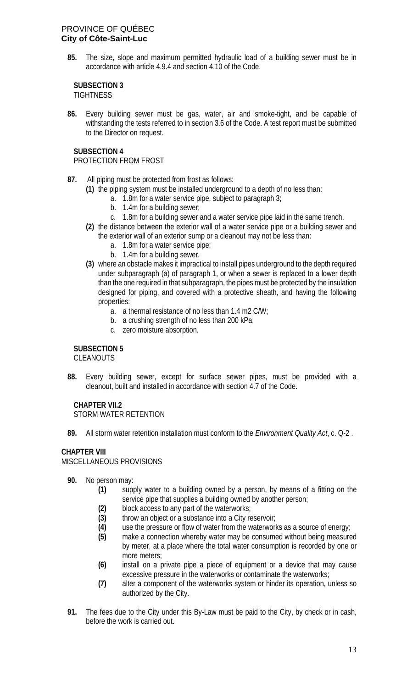**85.** The size, slope and maximum permitted hydraulic load of a building sewer must be in accordance with article 4.9.4 and section 4.10 of the Code.

# **SUBSECTION 3**

**TIGHTNESS** 

**86.** Every building sewer must be gas, water, air and smoke-tight, and be capable of withstanding the tests referred to in section 3.6 of the Code. A test report must be submitted to the Director on request.

## **SUBSECTION 4**

## PROTECTION FROM FROST

- **87.** All piping must be protected from frost as follows:
	- **(1)** the piping system must be installed underground to a depth of no less than:
		- a. 1.8m for a water service pipe, subject to paragraph 3;
		- b. 1.4m for a building sewer;
		- c. 1.8m for a building sewer and a water service pipe laid in the same trench.
	- **(2)** the distance between the exterior wall of a water service pipe or a building sewer and the exterior wall of an exterior sump or a cleanout may not be less than:
		- a. 1.8m for a water service pipe;
		- b. 1.4m for a building sewer.
	- **(3)** where an obstacle makes it impractical to install pipes underground to the depth required under subparagraph (a) of paragraph 1, or when a sewer is replaced to a lower depth than the one required in that subparagraph, the pipes must be protected by the insulation designed for piping, and covered with a protective sheath, and having the following properties:
		- a. a thermal resistance of no less than 1.4 m2 C/W;
		- b. a crushing strength of no less than 200 kPa;
		- c. zero moisture absorption.

## **SUBSECTION 5**

CLEANOUTS

**88.** Every building sewer, except for surface sewer pipes, must be provided with a cleanout, built and installed in accordance with section 4.7 of the Code.

# **CHAPTER VII.2**

STORM WATER RETENTION

**89.** All storm water retention installation must conform to the *Environment Quality Act*, c. Q-2 .

## **CHAPTER VIII**

MISCELLANEOUS PROVISIONS

- **90.** No person may:
	- **(1)** supply water to a building owned by a person, by means of a fitting on the service pipe that supplies a building owned by another person;
	- **(2)** block access to any part of the waterworks;
	- **(3)** throw an object or a substance into a City reservoir;
	- **(4)** use the pressure or flow of water from the waterworks as a source of energy;
	- **(5)** make a connection whereby water may be consumed without being measured by meter, at a place where the total water consumption is recorded by one or more meters;
	- **(6)** install on a private pipe a piece of equipment or a device that may cause excessive pressure in the waterworks or contaminate the waterworks;
	- **(7)** alter a component of the waterworks system or hinder its operation, unless so authorized by the City.
- **91.** The fees due to the City under this By-Law must be paid to the City, by check or in cash, before the work is carried out.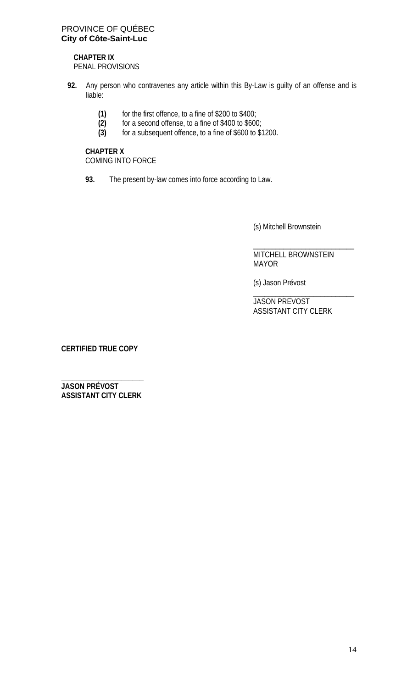# **CHAPTER IX**

PENAL PROVISIONS

- **92.** Any person who contravenes any article within this By-Law is guilty of an offense and is liable:
	- (1) for the first offence, to a fine of \$200 to \$400;<br>(2) for a second offense, to a fine of \$400 to \$600
	- (2) for a second offense, to a fine of \$400 to \$600;<br>(3) for a subsequent offence, to a fine of \$600 to \$1
	- **(3)** for a subsequent offence, to a fine of \$600 to \$1200.

**CHAPTER X** COMING INTO FORCE

**93.** The present by-law comes into force according to Law.

(s) Mitchell Brownstein

\_\_\_\_\_\_\_\_\_\_\_\_\_\_\_\_\_\_\_\_\_\_\_\_\_\_\_ MITCHELL BROWNSTEIN MAYOR

(s) Jason Prévost

\_\_\_\_\_\_\_\_\_\_\_\_\_\_\_\_\_\_\_\_\_\_\_\_\_\_\_ JASON PREVOST ASSISTANT CITY CLERK

**CERTIFIED TRUE COPY**

**\_\_\_\_\_\_\_\_\_\_\_\_\_\_\_\_\_\_\_\_\_\_ JASON PRÉVOST ASSISTANT CITY CLERK**